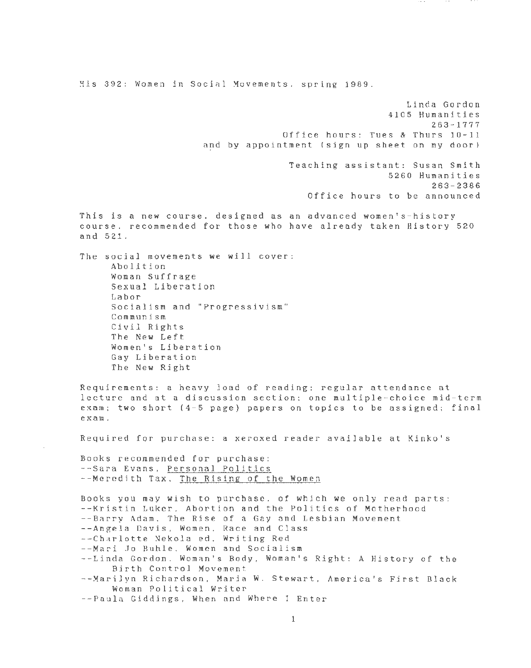His 392: Women in Social Movements. spring 1989.

Linda Gordon 4105 Human <sup>i</sup> ties 263 - 1777 Office hours: Tues & Thurs 10-11 and by appointment (sign up sheet on my door )

> Teaching assistant: Susan Smith 5260 Humanities 263-2386 Office hours to be announced

This is a new course, designed as an advanced women's-history course. recommended for those who have already taken History 520 and 521.

The social movements we will cover: Abolition Woman Suffrage Sexual Liberation Labor Socialism and "Progressivism" Communism Civil Rights The New Left Women's Liberation Gay Liberation The New Right

Requirements: a heavy load of reading: regular attendance at lecture and at a discussion section; one multiple-choice mid-term exam; two short (4-5 page) papers on topics to be assigned; final exam.

Required for purchase: a xeroxed reader available at Kinko's

Books recommended for purchase: - - Sara Evans, Personal Politics --Meredith Tax, The Rising of the Women

Books you may wish to purchase. of which we only read parts: --Kristin Luker, Abortion and the Politics of Motherhood --Barry Adam, The Rise of a Gay and Lesbian Movement --Angela Davis, Women, Race and Class - - Charlotte Nekola ed, Writing Red --Mari Jo Buhle. women and Socialism --Linda Gordon. Woman's Body, Woman's Right: A History of the Birth Control Movement --Marilyn Richardson, Maria W. Stewart, America's First Black Woman Political Writer --Paula Giddings, When and Where I Enter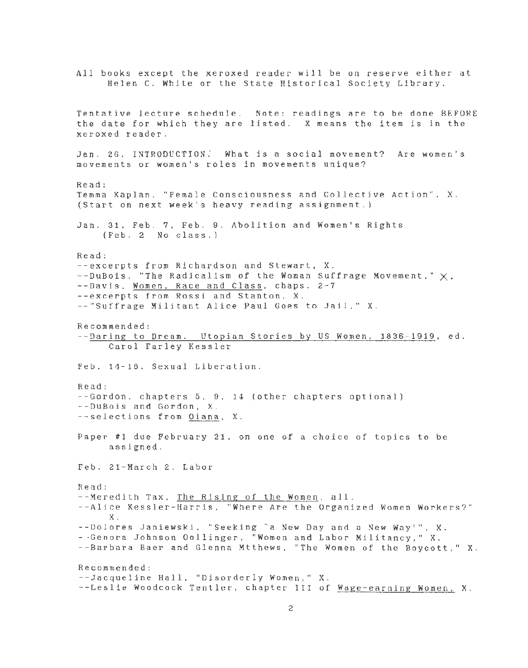All books except the xeroxed reader will be on reserve either at Helen C. White or the State Historical Society Library. Tentative lecture schedule. Note: readings are to be done BEFORE the date for which they are listed. X means the item is in the xeroxed reader. Jan. 26. INTRODUCTION. What is a social movement? Are women's movements or women's roles in movements unique? Read: Temma Kaplan, "Female Consciousness and Collective Action", X. (Start on next week's heavy reading assignment.) Jan. 31, Feb. 7, Feb. 9. Abolition and Women's Rights (Feb. 2 No class.) Read: --excerpts from Richardson and Stewart, X.  $-$ -DuBois, "The Radicalism of the Woman Suffrage Movement,"  $\times$ . --Davis, Women, Race and Class, chaps. 2-7 --excerpts from Rossi and Stanton, X. --"Suffrage Militant Alice Paul Goes to Jail," X. Recommended: - -Daring to Dream. Utopian Stories by US Women, 1836-1919, ed. Carol Farley Kessler Feb. 14-16. Sexual Liberation. Read: --Gordon, chapters 5, 9, 14 (other chapters optional) --DuBois and Gordon, X. - -selections from Diana, X. Paper #1 due February 21, on one of a choice of topics to be assigned. Feb. 21-March 2. Labor Read: --Meredith Tax, The Rising of the Women, all. --Alice Kessler-Harris, "Where Are the Organized Women Workers?" X. --Dolores Janiewski, "Seeking 'a New Day and a New Way'", X. --Genora Johnson Dollinger, "Women and Labor Militancy," X. --Barbara Baer and Glenna Mtthews, "The Women of the Boycott," X. Recommended: --Jacqueline Hall, "Disorderly Women." X. --Leslie Woodcock Tentler, chapter III of Wage-earning Women, X.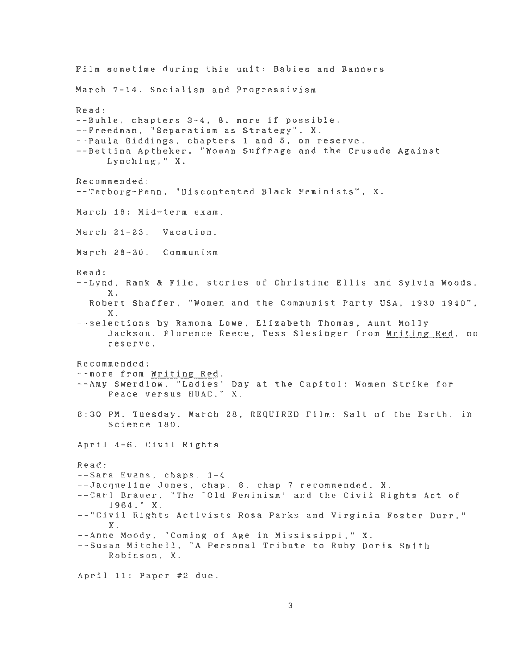Film sometime during this unit: Babies and Banners March 7-14. Socialism and Progressivism Read: --Buhle. chapters 3-4, 8, more if possible. --Freedman, "Separatism as Strategy", X. --Paula Giddings, chapters 1 and 5, on reserve. --Bettina Aptheker, "Woman Suffrage and the Crusade Against Lynching," X. Recommended: --Terborg-Penn. "Discontented Black Feminists", X. March 16: Mid-term exam. March 21-23. Vacation. March 28-30. Communism Read: --Lynd, Rank & File, stories of Christine Ellis and Sylvia Woods, X. --Robert Shaffer. "Women and the Communist Party USA, 1930-1940", X. --selections by Ramona Lowe, Elizabeth Thomas, Aunt Molly Jackson , Florence Reece, Tess Slesinger from Writing Red, on reserve. Recommended: --more from Writing Red. --Amy Swerdlow, "Ladies' Day at the Capitol: Women Strike for Peace versus HUAC," X. 8:30 PM, Tuesday, March 28, REQUIRED Film: Salt of the Earth, in Science 180. April 4-6. Civil Rights Read: --Sara Evans, chaps. 1-4 --Jacqueline Jones, chap. 8, chap 7 recommended, X. --Carl Brauer, "The 'Old Feminism' and the Civil Rights Act of 1964," X. --''Civil Rights Activists Rosa Parks and Virginia Foster Durr," X. --Anne Moody, "Coming of Age in Mississippi," X. --Susan Mitchell, "A Personal Tribute to Ruby Doris Smith Robinson, X. April 11: Paper #2 due.

3